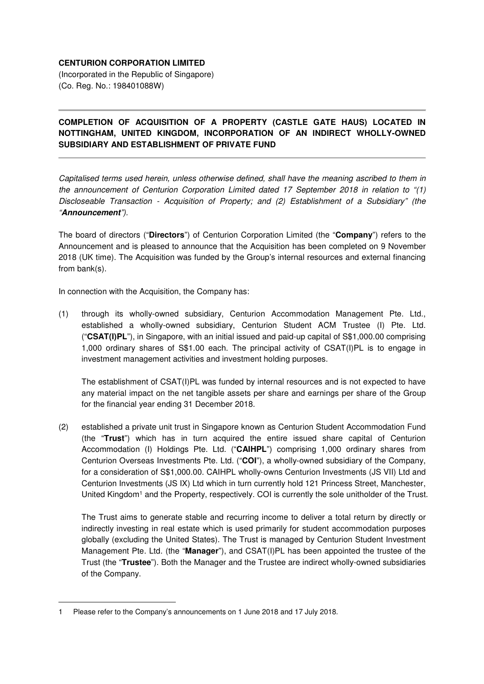## **CENTURION CORPORATION LIMITED**

(Incorporated in the Republic of Singapore) (Co. Reg. No.: 198401088W)

## **COMPLETION OF ACQUISITION OF A PROPERTY (CASTLE GATE HAUS) LOCATED IN NOTTINGHAM, UNITED KINGDOM, INCORPORATION OF AN INDIRECT WHOLLY-OWNED SUBSIDIARY AND ESTABLISHMENT OF PRIVATE FUND**

Capitalised terms used herein, unless otherwise defined, shall have the meaning ascribed to them in the announcement of Centurion Corporation Limited dated 17 September 2018 in relation to "(1) Discloseable Transaction - Acquisition of Property; and (2) Establishment of a Subsidiary" (the "**Announcement**").

The board of directors ("**Directors**") of Centurion Corporation Limited (the "**Company**") refers to the Announcement and is pleased to announce that the Acquisition has been completed on 9 November 2018 (UK time). The Acquisition was funded by the Group's internal resources and external financing from bank(s).

In connection with the Acquisition, the Company has:

(1) through its wholly-owned subsidiary, Centurion Accommodation Management Pte. Ltd., established a wholly-owned subsidiary, Centurion Student ACM Trustee (I) Pte. Ltd. ("**CSAT(I)PL**"), in Singapore, with an initial issued and paid-up capital of S\$1,000.00 comprising 1,000 ordinary shares of S\$1.00 each. The principal activity of CSAT(I)PL is to engage in investment management activities and investment holding purposes.

The establishment of CSAT(I)PL was funded by internal resources and is not expected to have any material impact on the net tangible assets per share and earnings per share of the Group for the financial year ending 31 December 2018.

(2) established a private unit trust in Singapore known as Centurion Student Accommodation Fund (the "**Trust**") which has in turn acquired the entire issued share capital of Centurion Accommodation (I) Holdings Pte. Ltd. ("**CAIHPL**") comprising 1,000 ordinary shares from Centurion Overseas Investments Pte. Ltd. ("**COI**"), a wholly-owned subsidiary of the Company, for a consideration of S\$1,000.00. CAIHPL wholly-owns Centurion Investments (JS VII) Ltd and Centurion Investments (JS IX) Ltd which in turn currently hold 121 Princess Street, Manchester, United Kingdom<sup>1</sup> and the Property, respectively. COI is currently the sole unitholder of the Trust.

The Trust aims to generate stable and recurring income to deliver a total return by directly or indirectly investing in real estate which is used primarily for student accommodation purposes globally (excluding the United States). The Trust is managed by Centurion Student Investment Management Pte. Ltd. (the "**Manager**"), and CSAT(I)PL has been appointed the trustee of the Trust (the "**Trustee**"). Both the Manager and the Trustee are indirect wholly-owned subsidiaries of the Company.

l

<sup>1</sup> Please refer to the Company's announcements on 1 June 2018 and 17 July 2018.